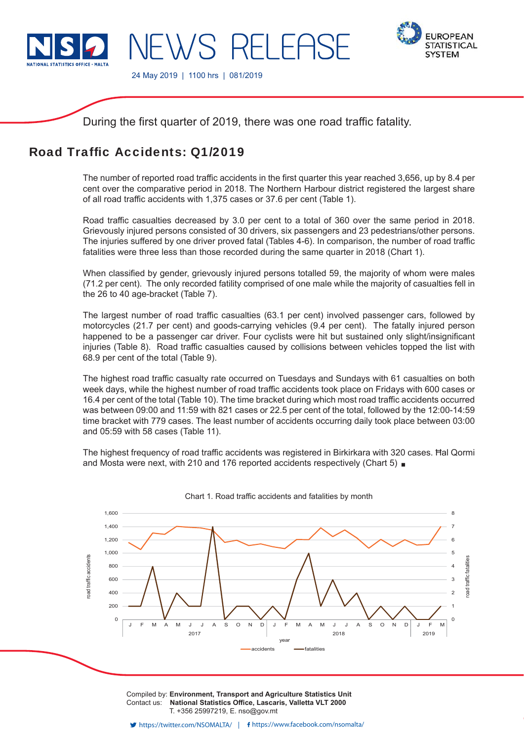

**EWS RELEASE** 



24 May 2019 | 1100 hrs | 081/2019

During the first quarter of 2019, there was one road traffic fatality.

# Road Traffic Accidents: 01/2019

The number of reported road traffic accidents in the first quarter this year reached 3,656, up by 8.4 per cent over the comparative period in 2018. The Northern Harbour district registered the largest share of all road traffic accidents with 1,375 cases or 37.6 per cent (Table 1).

Road traffic casualties decreased by 3.0 per cent to a total of 360 over the same period in 2018. Grievously injured persons consisted of 30 drivers, six passengers and 23 pedestrians/other persons. The injuries suffered by one driver proved fatal (Tables 4-6). In comparison, the number of road traffic fatalities were three less than those recorded during the same quarter in 2018 (Chart 1).

When classified by gender, grievously injured persons totalled 59, the majority of whom were males (71.2 per cent). The only recorded fatility comprised of one male while the majority of casualties fell in the 26 to 40 age-bracket (Table 7).

The largest number of road traffic casualties (63.1 per cent) involved passenger cars, followed by motorcycles (21.7 per cent) and goods-carrying vehicles (9.4 per cent). The fatally injured person happened to be a passenger car driver. Four cyclists were hit but sustained only slight/insignificant injuries (Table 8). Road traffic casualties caused by collisions between vehicles topped the list with 68.9 per cent of the total (Table 9).

The highest road traffic casualty rate occurred on Tuesdays and Sundays with 61 casualties on both week days, while the highest number of road traffic accidents took place on Fridays with 600 cases or 16.4 per cent of the total (Table 10). The time bracket during which most road traffic accidents occurred was between 09:00 and 11:59 with 821 cases or 22.5 per cent of the total, followed by the 12:00-14:59 time bracket with 779 cases. The least number of accidents occurring daily took place between 03:00 and 05:59 with 58 cases (Table 11).

The highest frequency of road traffic accidents was registered in Birkirkara with 320 cases. Ħal Qormi and Mosta were next, with 210 and 176 reported accidents respectively (Chart 5) **a** 



Chart 1. Road traffic accidents and fatalities by month

Compiled by: **Environment, Transport and Agriculture Statistics Unit** Contact us: National Statistics Office, Lascaris, Valletta VLT 2000 T. +356 25997219, E. nso@gov.mt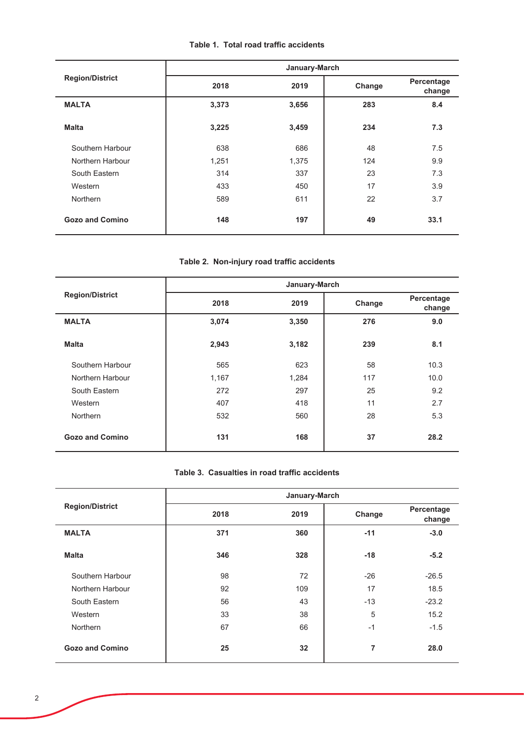# Table 1. Total road traffic accidents

|                        |       | January-March |        |                      |
|------------------------|-------|---------------|--------|----------------------|
| <b>Region/District</b> | 2018  | 2019          | Change | Percentage<br>change |
| <b>MALTA</b>           | 3,373 | 3,656         | 283    | 8.4                  |
| <b>Malta</b>           | 3,225 | 3,459         | 234    | 7.3                  |
| Southern Harbour       | 638   | 686           | 48     | 7.5                  |
| Northern Harbour       | 1,251 | 1,375         | 124    | 9.9                  |
| South Eastern          | 314   | 337           | 23     | 7.3                  |
| Western                | 433   | 450           | 17     | 3.9                  |
| Northern               | 589   | 611           | 22     | 3.7                  |
| <b>Gozo and Comino</b> | 148   | 197           | 49     | 33.1                 |

# Table 2. Non-injury road traffic accidents

|                        |       | January-March |        |                      |
|------------------------|-------|---------------|--------|----------------------|
| <b>Region/District</b> | 2018  | 2019          | Change | Percentage<br>change |
| <b>MALTA</b>           | 3,074 | 3,350         | 276    | 9.0                  |
| <b>Malta</b>           | 2,943 | 3,182         | 239    | 8.1                  |
| Southern Harbour       | 565   | 623           | 58     | 10.3                 |
| Northern Harbour       | 1,167 | 1,284         | 117    | 10.0                 |
| South Eastern          | 272   | 297           | 25     | 9.2                  |
| Western                | 407   | 418           | 11     | 2.7                  |
| Northern               | 532   | 560           | 28     | 5.3                  |
| <b>Gozo and Comino</b> | 131   | 168           | 37     | 28.2                 |

### Table 3. Casualties in road traffic accidents

|                        |      | January-March |        |                      |
|------------------------|------|---------------|--------|----------------------|
| <b>Region/District</b> | 2018 | 2019          | Change | Percentage<br>change |
| <b>MALTA</b>           | 371  | 360           | $-11$  | $-3.0$               |
| <b>Malta</b>           | 346  | 328           | $-18$  | $-5.2$               |
| Southern Harbour       | 98   | 72            | $-26$  | $-26.5$              |
| Northern Harbour       | 92   | 109           | 17     | 18.5                 |
| South Eastern          | 56   | 43            | $-13$  | $-23.2$              |
| Western                | 33   | 38            | 5      | 15.2                 |
| Northern               | 67   | 66            | $-1$   | $-1.5$               |
| <b>Gozo and Comino</b> | 25   | 32            | 7      | 28.0                 |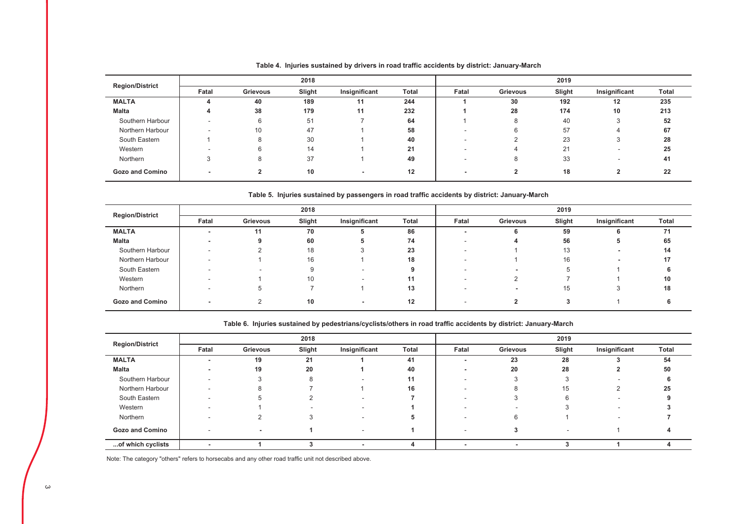| <b>Region/District</b> |                          |          | 2018   |               |                   | 2019  |          |        |                          |       |
|------------------------|--------------------------|----------|--------|---------------|-------------------|-------|----------|--------|--------------------------|-------|
|                        | Fatal                    | Grievous | Slight | Insignificant | <b>Total</b>      | Fatal | Grievous | Slight | Insignificant            | Total |
| <b>MALTA</b>           |                          | 40       | 189    | 11            | 244               |       | 30       | 192    | $12 \overline{ }$        | 235   |
| Malta                  |                          | 38       | 179    | 11            | 232               |       | 28       | 174    | 10                       | 213   |
| Southern Harbour       | $\overline{\phantom{a}}$ | 6        | 51     |               | 64                |       |          | 40     |                          | 52    |
| Northern Harbour       |                          | 10       | 47     |               | 58                |       |          | 57     |                          | 67    |
| South Eastern          |                          | 8        | 30     |               | 40                |       |          | 23     |                          | 28    |
| Western                |                          | 6        | 14     |               | 21                |       | 4        | 21     | $\overline{\phantom{a}}$ | 25    |
| Northern               |                          | 8        | 37     |               | 49                |       |          | 33     |                          | 41    |
| <b>Gozo and Comino</b> |                          |          | 10     |               | $12 \overline{ }$ |       |          | 18     |                          | 22    |

#### Table 4. Injuries sustained by drivers in road traffic accidents by district: January-March

Table 5. Injuries sustained by passengers in road traffic accidents by district: January-March

|                        |                          |          | 2018   |               |              | 2019  |          |        |               |       |
|------------------------|--------------------------|----------|--------|---------------|--------------|-------|----------|--------|---------------|-------|
| <b>Region/District</b> | Fatal                    | Grievous | Slight | Insignificant | <b>Total</b> | Fatal | Grievous | Slight | Insignificant | Total |
| <b>MALTA</b>           |                          | 11       | 70     | Ð             | 86           |       |          | 59     |               | 71    |
| Malta                  |                          | 9        | 60     | ÷.            | 74           |       |          | 56     |               | 65    |
| Southern Harbour       | $\overline{\phantom{a}}$ |          | 18     |               | 23           |       |          | 13     |               | 14    |
| Northern Harbour       | $\overline{\phantom{a}}$ |          | 16     |               | 18           |       |          | 16     |               | 17    |
| South Eastern          | $\overline{\phantom{a}}$ |          |        |               |              |       |          |        |               |       |
| Western                | $\overline{\phantom{a}}$ |          | 10     |               | 11           |       |          |        |               | 10    |
| Northern               | $\overline{\phantom{a}}$ | 5        |        |               | 13           |       |          | 15     |               | 18    |
| <b>Gozo and Comino</b> |                          |          | 10     | -             | 12           |       |          |        |               |       |

#### Table 6. Injuries sustained by pedestrians/cyclists/others in road traffic accidents by district: January-March

|                        |                          |          | 2018   |               |              |       | 2019                     |        |                          |       |  |
|------------------------|--------------------------|----------|--------|---------------|--------------|-------|--------------------------|--------|--------------------------|-------|--|
| <b>Region/District</b> | Fatal                    | Grievous | Slight | Insignificant | <b>Total</b> | Fatal | Grievous                 | Slight | Insignificant            | Total |  |
| <b>MALTA</b>           |                          | 19       | 21     |               | 41           |       | 23                       | 28     |                          | 54    |  |
| Malta                  |                          | 19       | 20     |               | 40           |       | 20                       | 28     |                          | 50    |  |
| Southern Harbour       | $\overline{\phantom{a}}$ |          | 8      |               | 11           |       |                          |        |                          |       |  |
| Northern Harbour       |                          | ö        |        |               | 16           |       |                          | 15     |                          | 25    |  |
| South Eastern          | $\overline{\phantom{a}}$ |          |        |               |              |       |                          |        | $\overline{\phantom{a}}$ |       |  |
| Western                |                          |          |        |               |              |       |                          |        |                          |       |  |
| Northern               |                          |          |        |               |              |       |                          |        |                          |       |  |
| <b>Gozo and Comino</b> | $\overline{\phantom{a}}$ |          |        | ٠             |              |       |                          | -      |                          |       |  |
| of which cyclists      |                          |          |        |               |              |       | $\overline{\phantom{a}}$ |        |                          |       |  |

Note: The category "others" refers to horsecabs and any other road traffic unit not described above.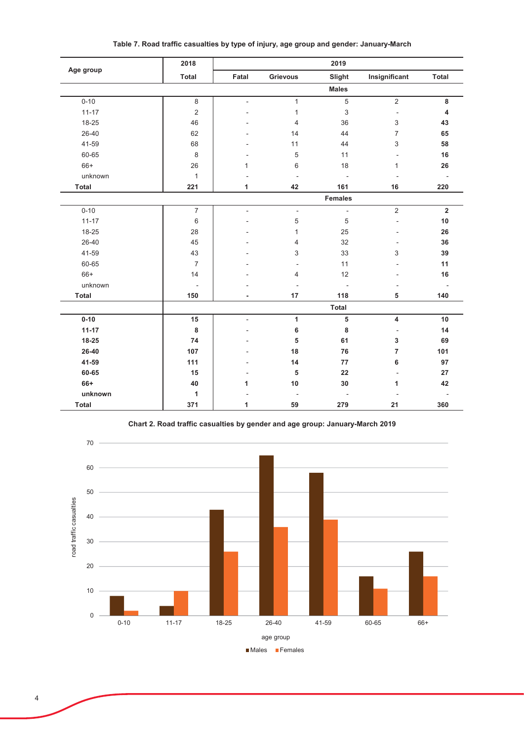| Age group | 2018                     |                |                          | 2019                     |                |                          |
|-----------|--------------------------|----------------|--------------------------|--------------------------|----------------|--------------------------|
|           | <b>Total</b>             | Fatal          | <b>Grievous</b>          | Slight                   | Insignificant  | Total                    |
|           |                          |                |                          | <b>Males</b>             |                |                          |
| $0 - 10$  | 8                        |                | $\mathbf{1}$             | $\overline{5}$           | $\overline{2}$ | 8                        |
| $11 - 17$ | $\overline{2}$           |                | 1                        | $\sqrt{3}$               | $\overline{a}$ | 4                        |
| 18-25     | 46                       |                | 4                        | 36                       | 3              | 43                       |
| 26-40     | 62                       |                | 14                       | 44                       | $\overline{7}$ | 65                       |
| 41-59     | 68                       |                | 11                       | 44                       | 3              | 58                       |
| 60-65     | $\,8\,$                  |                | 5                        | 11                       |                | 16                       |
| $66+$     | 26                       | 1              | 6                        | 18                       | $\mathbf{1}$   | 26                       |
| unknown   | $\mathbf{1}$             |                | $\blacksquare$           | $\overline{\phantom{a}}$ |                | $\overline{\phantom{a}}$ |
| Total     | 221                      | 1              | 42                       | 161                      | 16             | 220                      |
|           |                          |                |                          | <b>Females</b>           |                |                          |
| $0 - 10$  | $\overline{7}$           | $\overline{a}$ | $\overline{\phantom{a}}$ | $\Box$                   | $\overline{2}$ | $\overline{\mathbf{2}}$  |
| $11 - 17$ | $6\,$                    |                | 5                        | 5                        | ٠              | 10                       |
| 18-25     | 28                       |                | 1                        | 25                       |                | 26                       |
| 26-40     | 45                       |                | 4                        | 32                       |                | 36                       |
| 41-59     | 43                       |                | 3                        | 33                       | 3              | 39                       |
| 60-65     | $\overline{7}$           |                |                          | 11                       |                | 11                       |
| $66+$     | 14                       |                | 4                        | 12                       |                | 16                       |
| unknown   | $\overline{\phantom{a}}$ |                |                          | $\overline{\phantom{a}}$ |                | $\overline{\phantom{a}}$ |
| Total     | 150                      |                | 17                       | 118                      | 5              | 140                      |
|           |                          |                |                          | Total                    |                |                          |
| $0 - 10$  | 15                       |                | $\mathbf{1}$             | 5                        | 4              | 10                       |
| $11 - 17$ | $\bf8$                   |                | 6                        | 8                        | L,             | 14                       |
| 18-25     | 74                       |                | 5                        | 61                       | 3              | 69                       |
| 26-40     | 107                      |                | 18                       | 76                       | $\overline{7}$ | 101                      |
| 41-59     | 111                      |                | 14                       | 77                       | 6              | 97                       |
| 60-65     | 15                       |                | 5                        | 22                       |                | 27                       |
| 66+       | 40                       | 1              | $10$                     | 30                       | 1              | 42                       |
| unknown   | 1                        |                |                          |                          |                |                          |
| Total     | 371                      | 1              | 59                       | 279                      | 21             | 360                      |

Table 7. Road traffic casualties by type of injury, age group and gender: January-March



Chart 2. Road traffic casualties by gender and age group: January-March 2019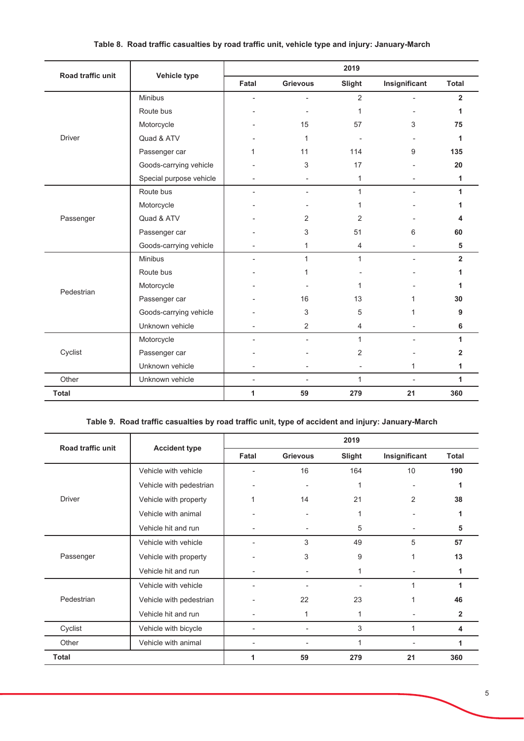| Road traffic unit |                         |                          |                 | 2019           |               |                |
|-------------------|-------------------------|--------------------------|-----------------|----------------|---------------|----------------|
|                   | Vehicle type            | Fatal                    | <b>Grievous</b> | Slight         | Insignificant | <b>Total</b>   |
|                   | Minibus                 |                          |                 | $\overline{2}$ |               | $\overline{2}$ |
|                   | Route bus               |                          |                 | 1              |               | 1              |
|                   | Motorcycle              |                          | 15              | 57             | 3             | 75             |
| <b>Driver</b>     | Quad & ATV              |                          | $\mathbf{1}$    |                |               | 1              |
|                   | Passenger car           | 1                        | 11              | 114            | 9             | 135            |
|                   | Goods-carrying vehicle  |                          | 3               | 17             |               | 20             |
|                   | Special purpose vehicle |                          | $\blacksquare$  | $\mathbf{1}$   |               | 1              |
|                   | Route bus               |                          | ٠               | $\mathbf{1}$   |               | 1              |
|                   | Motorcycle              |                          |                 | 1              |               |                |
| Passenger         | Quad & ATV              |                          | $\overline{2}$  | $\overline{2}$ |               |                |
|                   | Passenger car           |                          | 3               | 51             | 6             | 60             |
|                   | Goods-carrying vehicle  |                          | 1               | 4              |               | 5              |
|                   | <b>Minibus</b>          |                          | $\mathbf{1}$    | $\mathbf{1}$   | ٠             | $\overline{2}$ |
|                   | Route bus               |                          | 1               |                |               | 1              |
| Pedestrian        | Motorcycle              |                          |                 | 1              |               | 1              |
|                   | Passenger car           |                          | 16              | 13             | 1             | 30             |
|                   | Goods-carrying vehicle  |                          | 3               | 5              | 1             | 9              |
|                   | Unknown vehicle         |                          | 2               | 4              |               | 6              |
|                   | Motorcycle              |                          | ٠               | $\mathbf{1}$   |               | 1              |
| Cyclist           | Passenger car           |                          |                 | 2              |               | 2              |
|                   | Unknown vehicle         |                          |                 |                | 1             | 1              |
| Other             | Unknown vehicle         | $\overline{\phantom{a}}$ | $\blacksquare$  | $\mathbf{1}$   |               | 1              |
| <b>Total</b>      |                         | 1                        | 59              | 279            | 21            | 360            |

## Table 8. Road traffic casualties by road traffic unit, vehicle type and injury: January-March

# Table 9. Road traffic casualties by road traffic unit, type of accident and injury: January-March

| Road traffic unit |                         |       |                 | 2019   |               |              |
|-------------------|-------------------------|-------|-----------------|--------|---------------|--------------|
|                   | <b>Accident type</b>    | Fatal | <b>Grievous</b> | Slight | Insignificant | Total        |
|                   | Vehicle with vehicle    |       | 16              | 164    | 10            | 190          |
|                   | Vehicle with pedestrian |       | ۰               | 1      |               | 1            |
| <b>Driver</b>     | Vehicle with property   |       | 14              | 21     | 2             | 38           |
|                   | Vehicle with animal     |       |                 |        |               |              |
|                   | Vehicle hit and run     |       | ٠               | 5      |               | 5            |
|                   | Vehicle with vehicle    |       | 3               | 49     | 5             | 57           |
| Passenger         | Vehicle with property   |       | 3               | 9      |               | 13           |
|                   | Vehicle hit and run     |       | ٠               | 1      |               | 1            |
|                   | Vehicle with vehicle    |       |                 |        | 1             | 1            |
| Pedestrian        | Vehicle with pedestrian |       | 22              | 23     | 1             | 46           |
|                   | Vehicle hit and run     |       | 1               | 1      |               | $\mathbf{2}$ |
| Cyclist           | Vehicle with bicycle    |       |                 | 3      |               | 4            |
| Other             | Vehicle with animal     |       |                 | 1      |               | 1            |
| <b>Total</b>      |                         | 1     | 59              | 279    | 21            | 360          |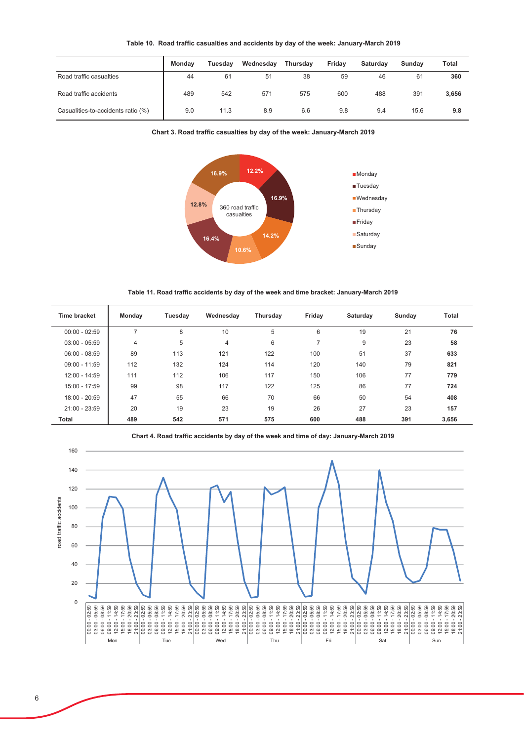| Table 10. Road traffic casualties and accidents by day of the week: January-March 2019 |  |  |  |  |  |
|----------------------------------------------------------------------------------------|--|--|--|--|--|
|----------------------------------------------------------------------------------------|--|--|--|--|--|

|                                    | Mondav | Tuesday | Wednesday | Thursday | Friday | <b>Saturdav</b> | Sundav | Total |
|------------------------------------|--------|---------|-----------|----------|--------|-----------------|--------|-------|
| Road traffic casualties            | 44     | 61      | 51        | 38       | 59     | 46              | 61     | 360   |
| Road traffic accidents             | 489    | 542     | 571       | 575      | 600    | 488             | 391    | 3,656 |
| Casualities-to-accidents ratio (%) | 9.0    | 11.3    | 8.9       | 6.6      | 9.8    | 9.4             | 15.6   | 9.8   |





Table 11. Road traffic accidents by day of the week and time bracket: January-March 2019

| Time bracket    | Monday         | Tuesday | Wednesday | Thursday | Friday                   | Saturday | Sunday | Total |
|-----------------|----------------|---------|-----------|----------|--------------------------|----------|--------|-------|
| $00:00 - 02:59$ |                | 8       | 10        | 5        | 6                        | 19       | 21     | 76    |
| $03:00 - 05:59$ | $\overline{4}$ | 5       | 4         | 6        | $\overline{\phantom{a}}$ | 9        | 23     | 58    |
| $06:00 - 08:59$ | 89             | 113     | 121       | 122      | 100                      | 51       | 37     | 633   |
| $09:00 - 11:59$ | 112            | 132     | 124       | 114      | 120                      | 140      | 79     | 821   |
| 12:00 - 14:59   | 111            | 112     | 106       | 117      | 150                      | 106      | 77     | 779   |
| 15:00 - 17:59   | 99             | 98      | 117       | 122      | 125                      | 86       | 77     | 724   |
| $18:00 - 20:59$ | 47             | 55      | 66        | 70       | 66                       | 50       | 54     | 408   |
| $21:00 - 23:59$ | 20             | 19      | 23        | 19       | 26                       | 27       | 23     | 157   |
| Total           | 489            | 542     | 571       | 575      | 600                      | 488      | 391    | 3,656 |



Chart 4. Road traffic accidents by day of the week and time of day: January-March 2019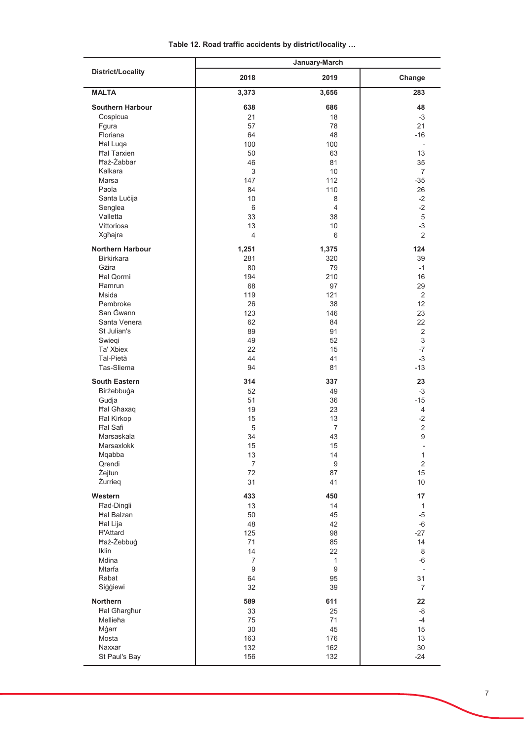|                          | January-March    |                |                                          |  |  |  |
|--------------------------|------------------|----------------|------------------------------------------|--|--|--|
| <b>District/Locality</b> | 2018             | 2019           | Change                                   |  |  |  |
| <b>MALTA</b>             | 3,373            | 3,656          | 283                                      |  |  |  |
| <b>Southern Harbour</b>  | 638              | 686            | 48                                       |  |  |  |
| Cospicua                 | 21               | 18             | $-3$                                     |  |  |  |
| Fgura                    | 57               | 78             | 21                                       |  |  |  |
| Floriana                 | 64               | 48             | $-16$                                    |  |  |  |
| <b>Hal Luqa</b>          | 100              | 100            | $\overline{a}$                           |  |  |  |
| <b>Hal Tarxien</b>       | 50               | 63             | 13                                       |  |  |  |
| <b>Ħaż-Żabbar</b>        | 46               | 81             | 35                                       |  |  |  |
| Kalkara                  | 3                | 10             | $\overline{7}$                           |  |  |  |
|                          |                  |                |                                          |  |  |  |
| Marsa                    | 147              | 112            | $-35$                                    |  |  |  |
| Paola                    | 84               | 110            | 26                                       |  |  |  |
| Santa Lucija             | 10               | 8              | $-2$                                     |  |  |  |
| Senglea                  | 6                | $\overline{4}$ | $-2$                                     |  |  |  |
| Valletta                 | 33               | 38             | 5                                        |  |  |  |
| Vittoriosa               | 13               | 10             | $-3$                                     |  |  |  |
| Xgħajra                  | $\overline{4}$   | 6              | 2                                        |  |  |  |
| <b>Northern Harbour</b>  | 1,251            | 1,375          | 124                                      |  |  |  |
| <b>Birkirkara</b>        | 281              | 320            | 39                                       |  |  |  |
| Gżira                    | 80               | 79             | $-1$                                     |  |  |  |
| <b>Hal Oormi</b>         | 194              | 210            | 16                                       |  |  |  |
| <b>Hamrun</b>            | 68               | 97             | 29                                       |  |  |  |
| <b>Msida</b>             | 119              | 121            | 2                                        |  |  |  |
| Pembroke                 |                  | 38             | 12                                       |  |  |  |
|                          | 26               |                |                                          |  |  |  |
| San Gwann                | 123              | 146            | 23                                       |  |  |  |
| Santa Venera             | 62               | 84             | 22                                       |  |  |  |
| St Julian's              | 89               | 91             | $\overline{2}$                           |  |  |  |
| Swiegi                   | 49               | 52             | 3                                        |  |  |  |
| Ta' Xbiex                | 22               | 15             | $-7$                                     |  |  |  |
| Tal-Pietà                | 44               | 41             | $-3$                                     |  |  |  |
| Tas-Sliema               | 94               | 81             | $-13$                                    |  |  |  |
| <b>South Eastern</b>     | 314              | 337            | 23                                       |  |  |  |
| Birżebbuġa               | 52               | 49             | $-3$                                     |  |  |  |
| Gudja                    | 51               | 36             | $-15$                                    |  |  |  |
| <b>Hal Ghaxaq</b>        | 19               | 23             | 4                                        |  |  |  |
| <b>Hal Kirkop</b>        | 15               | 13             | $-2$                                     |  |  |  |
| <b>Hal Safi</b>          | 5                | $\overline{7}$ | $\overline{2}$                           |  |  |  |
| Marsaskala               | 34               | 43             | 9                                        |  |  |  |
| Marsaxlokk               |                  | 15             |                                          |  |  |  |
| Mqabba                   | 15<br>13         | 14             | $\overline{\phantom{a}}$<br>$\mathbf{1}$ |  |  |  |
|                          |                  |                | $\overline{2}$                           |  |  |  |
| Qrendi                   | $\overline{7}$   | 9              |                                          |  |  |  |
| Żejtun                   | 72               | 87             | 15                                       |  |  |  |
| Żurrieg                  | 31               | 41             | 10                                       |  |  |  |
| Western                  | 433              | 450            | 17                                       |  |  |  |
| Had-Dingli               | 13               | 14             | $\mathbf{1}$                             |  |  |  |
| <b>Hal Balzan</b>        | 50               | 45             | $-5$                                     |  |  |  |
| Hal Lija                 | 48               | 42             | $-6$                                     |  |  |  |
| <b>H'Attard</b>          | 125              | 98             | $-27$                                    |  |  |  |
| Haż-Żebbuġ               | 71               | 85             | 14                                       |  |  |  |
| <b>Iklin</b>             | 14               | 22             | 8                                        |  |  |  |
| Mdina                    | $\overline{7}$   | $\mathbf{1}$   | $-6$                                     |  |  |  |
| Mtarfa                   | $\boldsymbol{9}$ | $9\,$          |                                          |  |  |  |
| Rabat                    | 64               | 95             | 31                                       |  |  |  |
| Siģģiewi                 | 32               | 39             | $\overline{7}$                           |  |  |  |
|                          |                  |                |                                          |  |  |  |
| Northern                 | 589              | 611            | 22                                       |  |  |  |
| <b>Hal Gharghur</b>      | 33               | 25             | -8                                       |  |  |  |
| Mellieħa                 | 75               | 71             | $-4$                                     |  |  |  |
| Mġarr                    | $30\,$           | 45             | 15                                       |  |  |  |
| Mosta                    | 163              | 176            | 13                                       |  |  |  |
| Naxxar                   | 132              | 162            | 30                                       |  |  |  |
| St Paul's Bay            | 156              | 132            | $-24$                                    |  |  |  |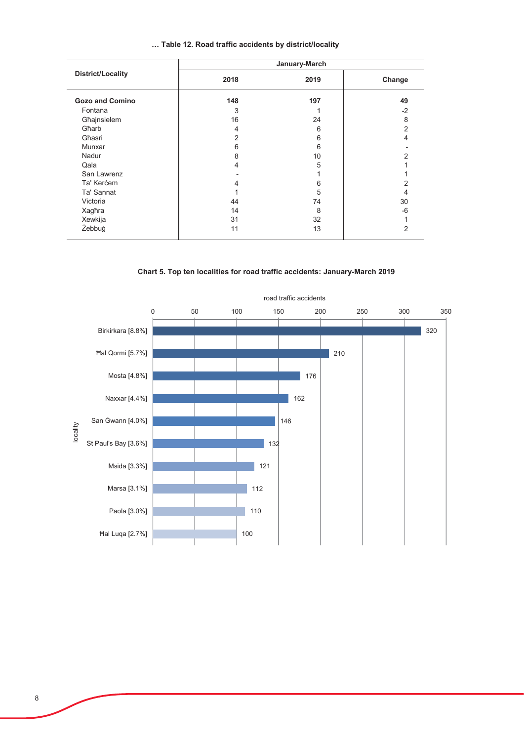|  |  |  |  |  |  |  | Table 12. Road traffic accidents by district/locality |  |
|--|--|--|--|--|--|--|-------------------------------------------------------|--|
|--|--|--|--|--|--|--|-------------------------------------------------------|--|

|                          | January-March |      |        |  |  |
|--------------------------|---------------|------|--------|--|--|
| <b>District/Locality</b> | 2018          | 2019 | Change |  |  |
| <b>Gozo and Comino</b>   | 148           | 197  | 49     |  |  |
| Fontana                  | 3             |      | $-2$   |  |  |
| Għajnsielem              | 16            | 24   | 8      |  |  |
| Gharb                    | 4             | 6    | 2      |  |  |
| Għasri                   | 2             | 6    |        |  |  |
| Munxar                   | 6             | 6    |        |  |  |
| Nadur                    | 8             | 10   |        |  |  |
| Qala                     | 4             | 5    |        |  |  |
| San Lawrenz              |               |      |        |  |  |
| Ta' Kercem               |               | 6    |        |  |  |
| Ta' Sannat               |               | 5    | 4      |  |  |
| Victoria                 | 44            | 74   | 30     |  |  |
| Xagħra                   | 14            | 8    | $-6$   |  |  |
| Xewkija                  | 31            | 32   |        |  |  |
| Żebbuġ                   | 11            | 13   | 2      |  |  |

### Chart 5. Top ten localities for road traffic accidents: January-March 2019